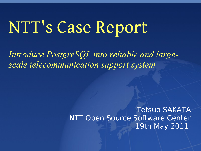# NTT's Case Report

*Introduce PostgreSQL into reliable and largescale telecommunication support system*

> Tetsuo SAKATA NTT Open Source Software Center 19th May 2011

> > 1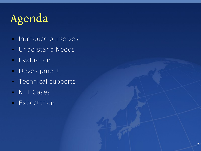## Agenda

- **Introduce ourselves**
- Understand Needs
- Evaluation
- Development
- **Technical supports**
- NTT Cases
- **Expectation**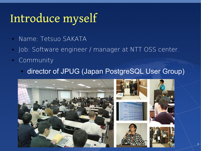## Introduce myself

- Name: Tetsuo SAKATA
- Job: Software engineer / manager at NTT OSS center.
- Community
	- director of JPUG (Japan PostgreSQL User Group)

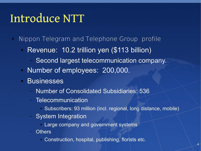### Introduce NTT

- **Nippon Telegram and Telephone Group profile** 
	- Revenue: 10.2 trillion yen (\$113 billion)
		- Second largest telecommunication company.
	- Number of employees: 200,000.
	- Businesses
		- Number of Consolidated Subsidiaries: 536
		- Telecommunication
			- Subscribers: 93 million (incl. regional, long distance, mobile)
		- System Integration
			- Large company and government systems
		- Others
			- Construction, hospital, publishing, florists etc.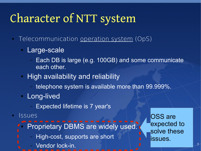## Character of NTT system

- Telecommunication operation system (OpS)
	- Large-scale
		- Each DB is large (e.g. 100GB) and some communicate each other.
	- High availability and reliability
		- telephone system is available more than 99.999%.
	- Long-lived
		- Expected lifetime is 7 year's
- **Issues** 
	- Proprietary DBMS are widely used.
		- High-cost, supports are short
		- Vendor lock-in.

OSS are expected to solve these issues.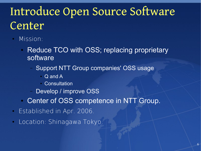## Introduce Open Source Software **Center**

- Mission:
	- Reduce TCO with OSS; replacing proprietary software
		- Support NTT Group companies' OSS usage
			- Q and A
			- Consultation
		- Develop / improve OSS
	- Center of OSS competence in NTT Group.
- Established in Apr. 2006.
- Location: Shinagawa Tokyo.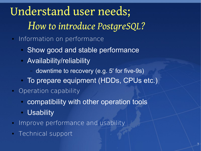Understand user needs; *How to introduce PostgreSQL?*

- **Information on performance** 
	- Show good and stable performance
	- Availability/reliability
		- downtime to recovery (e.g. 5' for five-9s)
	- To prepare equipment (HDDs, CPUs etc.)
- **Operation capability** 
	- compatibility with other operation tools
	- Usability
- **Improve performance and usability**
- **Technical support**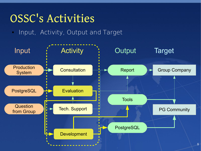#### OSSC's Activities

**Input, Activity, Output and Target** 

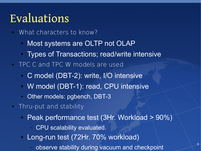#### Evaluations

- What characters to know?
	- Most systems are OLTP not OLAP
	- Types of Transactions; read/write intensive
- **TPC C and TPC W models are used** 
	- C model (DBT-2): write, I/O intensive
	- W model (DBT-1): read, CPU intensive
	- Other models: pgbench, DBT-3
- Thru-put and stability
	- Peak performance test (3Hr. Workload > 90%)
		- CPU scalability evaluated.
	- Long-run test (72Hr. 70% workload)
		- observe stability during vacuum and checkpoint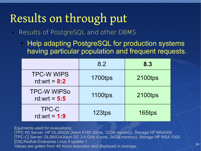## Results on through put

- Results of PostgreSQL and other DBMS.
	- Help adapting PostgreSQL for production systems having particular population and frequent requests.

|                                      | 8.2            | 8.3            |
|--------------------------------------|----------------|----------------|
| <b>TPC-W WIPS</b><br>rd:wrt = $8:2$  | <b>1700tps</b> | 2100tps        |
| <b>TPC-W WIPSo</b><br>rd:wrt = $5:5$ | <b>1100tps</b> | <b>2100tps</b> |
| TPC-C<br>rd:wrt = $1:9$              | 123tps         | 165tps         |

Equiments used for evaluations; [TPC-W] Server: HP DL380G5 (Xeon 5160 3GHe, 12GB memory), Storage HP MSA500 [TPC-C] Server: DL580G4(Xeon DC 3.4 GHz 4 core, 24GB memory), Storage HP MSA 1000 [OS] Redhat Enterprise Linux 5 update 1 Values are gotten from 48 hours execution and displayed in average.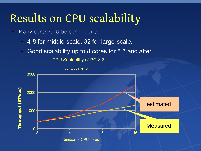### Results on CPU scalability

- **Many cores CPU be commodity** 
	- 4-8 for middle-scale, 32 for large-scale.
	- Good scalability up to 8 cores for 8.3 and after.



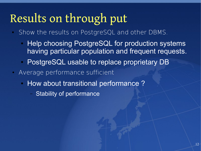## Results on through put

- Show the results on PostgreSQL and other DBMS.
	- Help choosing PostgreSQL for production systems having particular population and frequent requests.
	- PostgreSQL usable to replace proprietary DB
- Average performance sufficient
	- How about transitional performance?
		- Stability of performance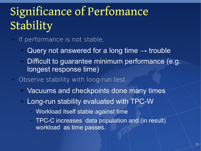## Significance of Perfomance Stability

- If performance is not stable,
	- Query not answered for a long time  $\rightarrow$  trouble
	- Difficult to guarantee minimum performance (e.g. longest response time)
- Observe stability with long-run test.
	- Vacuums and checkpoints done many times
	- Long-run stability evaluated with TPC-W
		- Workload itself stable against time
		- TPC-C increases data population and (in result) workload as time passes.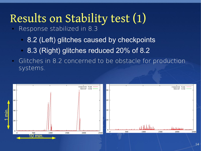## Results on Stability test (1)

- Response stabilized in 8.3
	- 8.2 (Left) glitches caused by checkpoints
	- 8.3 (Right) glitches reduced 20% of 8.2
- **Glitches in 8.2 concerned to be obstacle for production** systems.

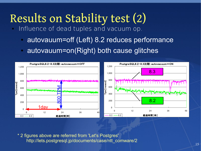## Results on Stability test (2)

- Influence of dead tuples and vacuum op.
	- autovauum=off (Left) 8.2 reduces performance
	- autovauum=on(Right) both cause glitches



\* 2 figures above are referred from 'Let's Postgres' http://lets.postgresql.jp/documents/case/ntt\_comware/2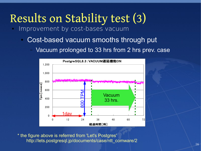## Results on Stability test (3)

- **Improvement by cost-bases vacuum** 
	- Cost-based vacuum smooths through put
		- Vacuum prolonged to 33 hrs from 2 hrs prev. case



\* the figure above is referred from 'Let's Postgres' http://lets.postgresql.jp/documents/case/ntt\_comware/2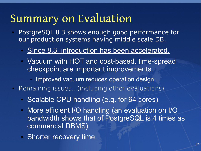#### Summary on Evaluation

- PostgreSQL 8.3 shows enough good performance for our production systems having middle scale DB.
	- SInce 8.3, introduction has been accelerated.
	- Vacuum with HOT and cost-based, time-spread checkpoint are important improvements.
		- Improved vacuum reduces operation design.
- Remaining issues...(including other evaluations)
	- Scalable CPU handling (e.g. for 64 cores)
	- More efficient I/O handling (an evaluation on I/O bandwidth shows that of PostgreSQL is 4 times as commercial DBMS)
	- Shorter recovery time.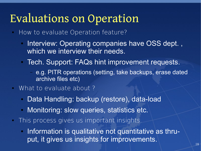#### Evaluations on Operation

- How to evaluate Operation feature?
	- Interview: Operating companies have OSS dept., which we interview their needs.
	- Tech. Support: FAQs hint improvement requests.
		- e.g. PITR operations (setting, take backups, erase dated archive files etc)
- What to evaluate about ?
	- Data Handling: backup (restore), data-load
	- Monitoring: slow queries, statistics etc.
- **This process gives us important insights.** 
	- Information is qualitative not quantitative as thruput, it gives us insights for improvements.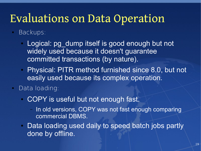#### Evaluations on Data Operation

#### **Backups:**

- Logical: pg dump itself is good enough but not widely used because it doesn't guarantee committed transactions (by nature).
- Physical: PITR method furnished since 8.0, but not easily used because its complex operation.

#### Data loading:

- COPY is useful but not enough fast.
	- In old versions, COPY was not fast enough comparing commercial DBMS.
- Data loading used daily to speed batch jobs partly done by offline.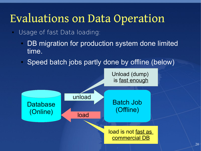#### Evaluations on Data Operation

- Usage of fast Data loading:
	- DB migration for production system done limited time.
	- Speed batch jobs partly done by offline (below)

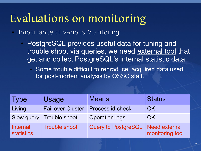### Evaluations on monitoring

**Importance of various Monitoring:** 

- PostgreSQL provides useful data for tuning and trouble shoot via queries, we need external tool that get and collect PostgreSQL's internal statistic data.
	- Some trouble difficult to reproduce, acquired data used for post-mortem analysis by OSSC staff.

| <b>Type</b>                          | Usage                    | <b>Means</b>               | <b>Status</b>                           |
|--------------------------------------|--------------------------|----------------------------|-----------------------------------------|
| Living                               | <b>Fail over Cluster</b> | Process id check           | OK.                                     |
|                                      | Slow query Trouble shoot | <b>Operation logs</b>      | OK.                                     |
| <b>Internal</b><br><b>statistics</b> | <b>Trouble shoot</b>     | <b>Query to PostgreSQL</b> | <b>Need external</b><br>monitoring tool |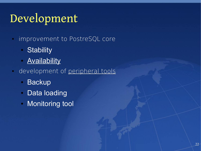### Development

- $\blacksquare$ improvement to PostreSQL core
	- Stability
	- **Availability**
- development of peripheral tools
	- Backup
	- Data loading
	- Monitoring tool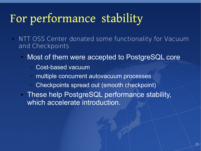## For performance stability

- **NTT OSS Center donated some functionality for Vacuum** and Checkpoints
	- Most of them were accepted to PostgreSQL core
		- Cost-based vacuum
		- multiple concurrent autovacuum processes
		- Checkpoints spread out (smooth checkpoint)
	- These help PostgreSQL performance stability, which accelerate introduction.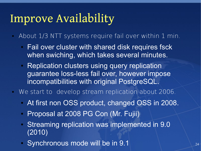### Improve Availability

- About 1/3 NTT systems require fail over within 1 min.
	- Fail over cluster with shared disk requires fsck when swiching, which takes several minutes.
	- Replication clusters using query replication guarantee loss-less fail over, however impose incompatibilities with original PostgreSQL.
- We start to develop stream replication about 2006.
	- At first non OSS product, changed OSS in 2008.
	- Proposal at 2008 PG Con (Mr. Fujii)
	- Streaming replication was implemented in 9.0 (2010)
	- Synchronous mode will be in 9.1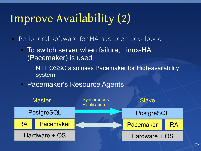## Improve Availability (2)

- Peripheral software for HA has been developed
	- To switch server when failure, Linux-HA (Pacemaker) is used
		- NTT OSSC also uses Pacemaker for High-availability **system**
	- Pacemaker's Resource Agents

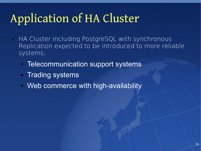## Application of HA Cluster

- **HA Cluster including PostgreSQL with synchronous** Replication expected to be introduced to more reliable systems;
	- **Telecommunication support systems**
	- Trading systems
	- Web commerce with high-availability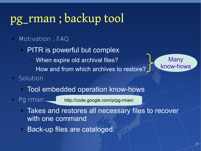### pg\_rman ; backup tool

#### **Motivation** ; FAQ.

- PITR is powerful but complex
	- When expire old archival files?
	- How and from which archives to restore?
- Solution
	- Tool embedded operation know-hows
- 

Pg rman http://code.google.com/p/pg-rman/

- Takes and restores all necessary files to recover with one command
- Back-up files are cataloged.

**Many** 

know-hows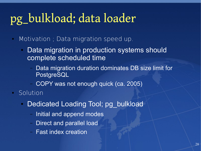## pg\_bulkload; data loader

- **Motivation** ; Data migration speed up.
	- Data migration in production systems should complete scheduled time
		- Data migration duration dominates DB size limit for PostgreSQL
		- COPY was not enough quick (ca. 2005)
- Solution
	- Dedicated Loading Tool; pg\_bulkload
		- Initial and append modes
		- Direct and parallel load
		- Fast index creation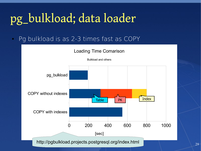## pg\_bulkload; data loader

Pg bulkload is as 2-3 times fast as COPY

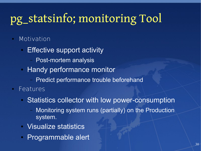## pg\_statsinfo; monitoring Tool

#### Motivation

- Effective support activity
	- Post-mortem analysis
- Handy performance monitor
	- Predict performance trouble beforehand
- Features
	- Statistics collector with low power-consumption
		- Monitoring system runs (partially) on the Production system.
	- Visualize statistics
	- Programmable alert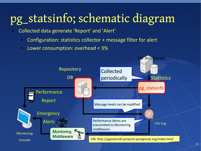## pg\_statsinfo; schematic diagram

- Collected data generate 'Report' and 'Alert'
	- Configuration: statistics collector + message filter for alert
	- Lower consumption: overhead < 3%

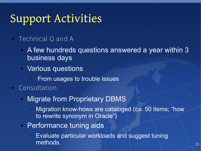### Support Activities

#### **Technical Q and A**

- A few hundreds questions answered a year within 3 business days
- Various questions
	- From usages to trouble issues
- **Consultation** 
	- Migrate from Proprietary DBMS
		- Migration know-hows are cataloged (ca. 50 items; "how to rewrite synonym in Oracle")
	- Performance tuning aids
		- Evaluate particular workloads and suggest tuning methods.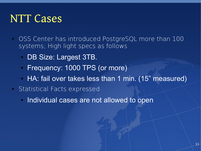#### NTT Cases

- OSS Center has introduced PostgreSQL more than 100 systems; High light specs as follows
	- DB Size: Largest 3TB.
	- Frequency: 1000 TPS (or more)
	- HA: fail over takes less than 1 min. (15" measured)
- Statistical Facts expressed
	- Individual cases are not allowed to open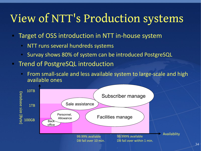### View of NTT's Production systems

- Target of OSS introduction in NTT in-house system
	- NTT runs several hundreds systems
	- Survay shows 80% of system can be introduced PostgreSQL
- **Trend of PostgreSQL introduction** 
	- From small-scale and less available system to large-scale and high available ones

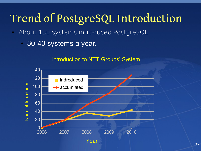### Trend of PostgreSQL Introduction

- About 130 systems introduced PostgreSQL
	- 30-40 systems a year.

#### Introduction to NTT Groups' System

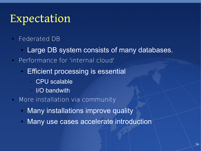#### Expectation

- Federated DB
	- Large DB system consists of many databases.
- Performance for 'internal cloud'
	- Efficient processing is essential
		- CPU scalable
		- I/O bandwith
- **More installation via community** 
	- Many installations improve quality
	- Many use cases accelerate introduction